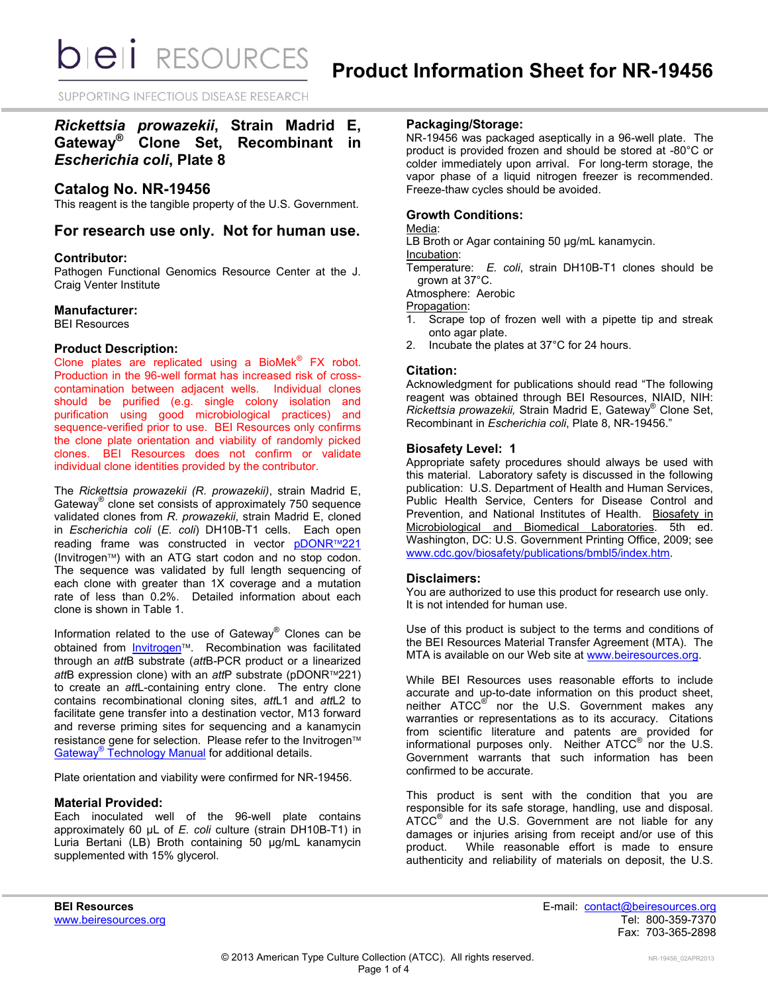*DIEII RESOURCES* 

SUPPORTING INFECTIOUS DISEASE RESEARCH

# *Rickettsia prowazekii***, Strain Madrid E, Gateway® Clone Set, Recombinant in**  *Escherichia coli***, Plate 8**

# **Catalog No. NR-19456**

This reagent is the tangible property of the U.S. Government.

# **For research use only. Not for human use.**

# **Contributor:**

Pathogen Functional Genomics Resource Center at the J. Craig Venter Institute

# **Manufacturer:**

BEI Resources

# **Product Description:**

Clone plates are replicated using a BioMek<sup>®</sup> FX robot. Production in the 96-well format has increased risk of crosscontamination between adjacent wells. Individual clones should be purified (e.g. single colony isolation and purification using good microbiological practices) and sequence-verified prior to use. BEI Resources only confirms the clone plate orientation and viability of randomly picked clones. BEI Resources does not confirm or validate individual clone identities provided by the contributor.

The *Rickettsia prowazekii (R. prowazekii)*, strain Madrid E, Gateway® clone set consists of approximately 750 sequence validated clones from *R. prowazekii*, strain Madrid E, cloned in *Escherichia coli* (*E. coli*) DH10B-T1 cells. Each open reading frame was constructed in vector [pDONR](http://products.invitrogen.com/ivgn/product/12536017)™221 (Invitrogen™) with an ATG start codon and no stop codon. The sequence was validated by full length sequencing of each clone with greater than 1X coverage and a mutation rate of less than 0.2%. Detailed information about each clone is shown in Table 1.

Information related to the use of Gateway® Clones can be obtained from *Invitrogen*<sup>™</sup>. Recombination was facilitated through an *att*B substrate (*att*B-PCR product or a linearized *att*B expression clone) with an *att*P substrate (pDONR™221) to create an *att*L-containing entry clone. The entry clone contains recombinational cloning sites, *att*L1 and *att*L2 to facilitate gene transfer into a destination vector, M13 forward and reverse priming sites for sequencing and a kanamycin resistance gene for selection. Please refer to the Invitrogen™ Gateway<sup>®</sup> [Technology Manual](http://tools.invitrogen.com/content/sfs/manuals/gatewayman.pdf) for additional details.

Plate orientation and viability were confirmed for NR-19456.

# **Material Provided:**

Each inoculated well of the 96-well plate contains approximately 60 µL of *E. coli* culture (strain DH10B-T1) in Luria Bertani (LB) Broth containing 50 µg/mL kanamycin supplemented with 15% glycerol.

# **Packaging/Storage:**

NR-19456 was packaged aseptically in a 96-well plate. The product is provided frozen and should be stored at -80°C or colder immediately upon arrival. For long-term storage, the vapor phase of a liquid nitrogen freezer is recommended. Freeze-thaw cycles should be avoided.

# **Growth Conditions:**

# Media:

LB Broth or Agar containing 50 µg/mL kanamycin.

#### Incubation:

Temperature: *E. coli*, strain DH10B-T1 clones should be grown at 37°C.

Atmosphere: Aerobic

Propagation:

- 1. Scrape top of frozen well with a pipette tip and streak onto agar plate.
- 2. Incubate the plates at 37°C for 24 hours.

### **Citation:**

Acknowledgment for publications should read "The following reagent was obtained through BEI Resources, NIAID, NIH: *Rickettsia prowazekii,* Strain Madrid E, Gateway® Clone Set, Recombinant in *Escherichia coli*, Plate 8, NR-19456."

# **Biosafety Level: 1**

Appropriate safety procedures should always be used with this material. Laboratory safety is discussed in the following publication: U.S. Department of Health and Human Services, Public Health Service, Centers for Disease Control and Prevention, and National Institutes of Health. Biosafety in Microbiological and Biomedical Laboratories. 5th ed. Washington, DC: U.S. Government Printing Office, 2009; see [www.cdc.gov/biosafety/publications/bmbl5/index.htm.](http://www.cdc.gov/biosafety/publications/bmbl5/index.htm)

### **Disclaimers:**

You are authorized to use this product for research use only. It is not intended for human use.

Use of this product is subject to the terms and conditions of the BEI Resources Material Transfer Agreement (MTA). The MTA is available on our Web site at [www.beiresources.org.](http://www.beiresources.org/)

While BEI Resources uses reasonable efforts to include accurate and up-to-date information on this product sheet, neither ATCC<sup>®</sup> nor the U.S. Government makes any warranties or representations as to its accuracy. Citations from scientific literature and patents are provided for informational purposes only. Neither  $\tt ATCC^@$  nor the U.S. Government warrants that such information has been confirmed to be accurate.

This product is sent with the condition that you are responsible for its safe storage, handling, use and disposal. ATCC<sup>®</sup> and the U.S. Government are not liable for any damages or injuries arising from receipt and/or use of this product. While reasonable effort is made to ensure authenticity and reliability of materials on deposit, the U.S.

**BEI Resources** E-mail: [contact@beiresources.org](mailto:contact@beiresources.org) Fax: 703-365-2898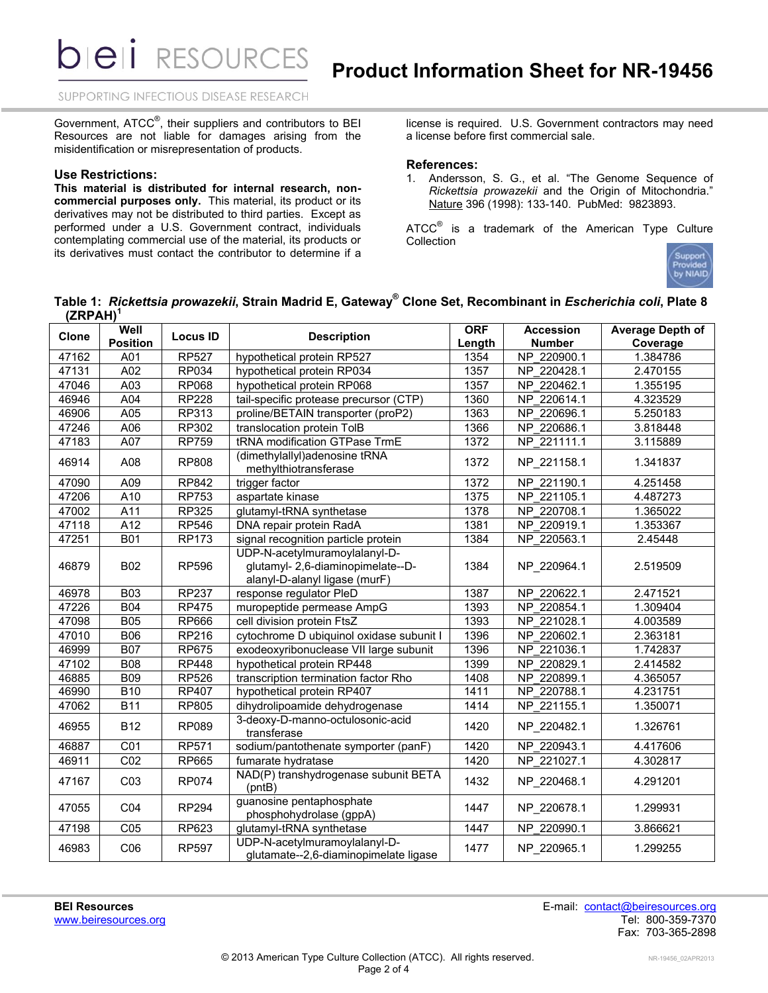**DIEII RESOURCES** 

SUPPORTING INFECTIOUS DISEASE RESEARCH

Government, ATCC<sup>®</sup>, their suppliers and contributors to BEI Resources are not liable for damages arising from the misidentification or misrepresentation of products.

#### **Use Restrictions:**

**This material is distributed for internal research, noncommercial purposes only.** This material, its product or its derivatives may not be distributed to third parties. Except as performed under a U.S. Government contract, individuals contemplating commercial use of the material, its products or its derivatives must contact the contributor to determine if a

license is required. U.S. Government contractors may need a license before first commercial sale.

## **References:**

1. Andersson, S. G., et al. "The Genome Sequence of *Rickettsia prowazekii* and the Origin of Mitochondria." Nature 396 (1998): 133-140. PubMed: 9823893.

ATCC $^{\circ}$  is a trademark of the American Type Culture **Collection** 



**Table 1:** *Rickettsia prowazekii***, Strain Madrid E, Gateway® Clone Set, Recombinant in** *Escherichia coli***, Plate 8 (ZRPAH) 1**

| Clone | Well             | <b>Locus ID</b> | <b>Description</b>                                                                                  | <b>ORF</b> | <b>Accession</b> | <b>Average Depth of</b> |
|-------|------------------|-----------------|-----------------------------------------------------------------------------------------------------|------------|------------------|-------------------------|
|       | <b>Position</b>  |                 |                                                                                                     | Length     | <b>Number</b>    | Coverage                |
| 47162 | A01              | <b>RP527</b>    | hypothetical protein RP527                                                                          | 1354       | NP 220900.1      | 1.384786                |
| 47131 | A02              | <b>RP034</b>    | hypothetical protein RP034                                                                          | 1357       | NP 220428.1      | 2.470155                |
| 47046 | $\overline{A03}$ | <b>RP068</b>    | hypothetical protein RP068                                                                          | 1357       | NP 220462.1      | 1.355195                |
| 46946 | A04              | <b>RP228</b>    | tail-specific protease precursor (CTP)                                                              | 1360       | NP 220614.1      | 4.323529                |
| 46906 | $\overline{A05}$ | RP313           | proline/BETAIN transporter (proP2)                                                                  | 1363       | NP 220696.1      | 5.250183                |
| 47246 | A06              | <b>RP302</b>    | translocation protein TolB                                                                          | 1366       | NP 220686.1      | 3.818448                |
| 47183 | A07              | <b>RP759</b>    | tRNA modification GTPase TrmE                                                                       | 1372       | NP 221111.1      | 3.115889                |
| 46914 | A08              | <b>RP808</b>    | (dimethylallyl)adenosine tRNA<br>methylthiotransferase                                              | 1372       | NP 221158.1      | 1.341837                |
| 47090 | A09              | RP842           | trigger factor                                                                                      | 1372       | NP 221190.1      | 4.251458                |
| 47206 | $\overline{A10}$ | <b>RP753</b>    | aspartate kinase                                                                                    | 1375       | NP 221105.1      | 4.487273                |
| 47002 | A11              | RP325           | glutamyl-tRNA synthetase                                                                            | 1378       | NP 220708.1      | 1.365022                |
| 47118 | A12              | <b>RP546</b>    | DNA repair protein RadA                                                                             | 1381       | NP 220919.1      | 1.353367                |
| 47251 | <b>B01</b>       | <b>RP173</b>    | signal recognition particle protein                                                                 | 1384       | NP 220563.1      | 2.45448                 |
| 46879 | <b>B02</b>       | <b>RP596</b>    | UDP-N-acetylmuramoylalanyl-D-<br>glutamyl- 2,6-diaminopimelate--D-<br>alanyl-D-alanyl ligase (murF) | 1384       | NP 220964.1      | 2.519509                |
| 46978 | <b>B03</b>       | <b>RP237</b>    | response regulator PleD                                                                             | 1387       | NP 220622.1      | 2.471521                |
| 47226 | <b>B04</b>       | <b>RP475</b>    | muropeptide permease AmpG                                                                           | 1393       | NP 220854.1      | 1.309404                |
| 47098 | <b>B05</b>       | <b>RP666</b>    | cell division protein FtsZ                                                                          | 1393       | NP 221028.1      | 4.003589                |
| 47010 | <b>B06</b>       | RP216           | cytochrome D ubiquinol oxidase subunit I                                                            | 1396       | NP 220602.1      | 2.363181                |
| 46999 | <b>B07</b>       | <b>RP675</b>    | exodeoxyribonuclease VII large subunit                                                              | 1396       | NP 221036.1      | 1.742837                |
| 47102 | <b>B08</b>       | <b>RP448</b>    | hypothetical protein RP448                                                                          | 1399       | NP 220829.1      | 2.414582                |
| 46885 | <b>B09</b>       | <b>RP526</b>    | transcription termination factor Rho                                                                | 1408       | NP 220899.1      | 4.365057                |
| 46990 | <b>B10</b>       | <b>RP407</b>    | hypothetical protein RP407                                                                          | 1411       | NP 220788.1      | 4.231751                |
| 47062 | <b>B11</b>       | RP805           | dihydrolipoamide dehydrogenase                                                                      | 1414       | NP 221155.1      | 1.350071                |
| 46955 | <b>B12</b>       | <b>RP089</b>    | 3-deoxy-D-manno-octulosonic-acid<br>transferase                                                     | 1420       | NP 220482.1      | 1.326761                |
| 46887 | CO <sub>1</sub>  | <b>RP571</b>    | sodium/pantothenate symporter (panF)                                                                | 1420       | NP 220943.1      | 4.417606                |
| 46911 | CO <sub>2</sub>  | RP665           | fumarate hydratase                                                                                  | 1420       | NP 221027.1      | 4.302817                |
| 47167 | CO <sub>3</sub>  | <b>RP074</b>    | NAD(P) transhydrogenase subunit BETA<br>(pntB)                                                      | 1432       | NP 220468.1      | 4.291201                |
| 47055 | CO <sub>4</sub>  | <b>RP294</b>    | guanosine pentaphosphate<br>phosphohydrolase (gppA)                                                 | 1447       | NP_220678.1      | 1.299931                |
| 47198 | C <sub>05</sub>  | RP623           | glutamyl-tRNA synthetase                                                                            | 1447       | NP 220990.1      | 3.866621                |
| 46983 | CO6              | <b>RP597</b>    | UDP-N-acetylmuramoylalanyl-D-<br>glutamate--2,6-diaminopimelate ligase                              | 1477       | NP 220965.1      | 1.299255                |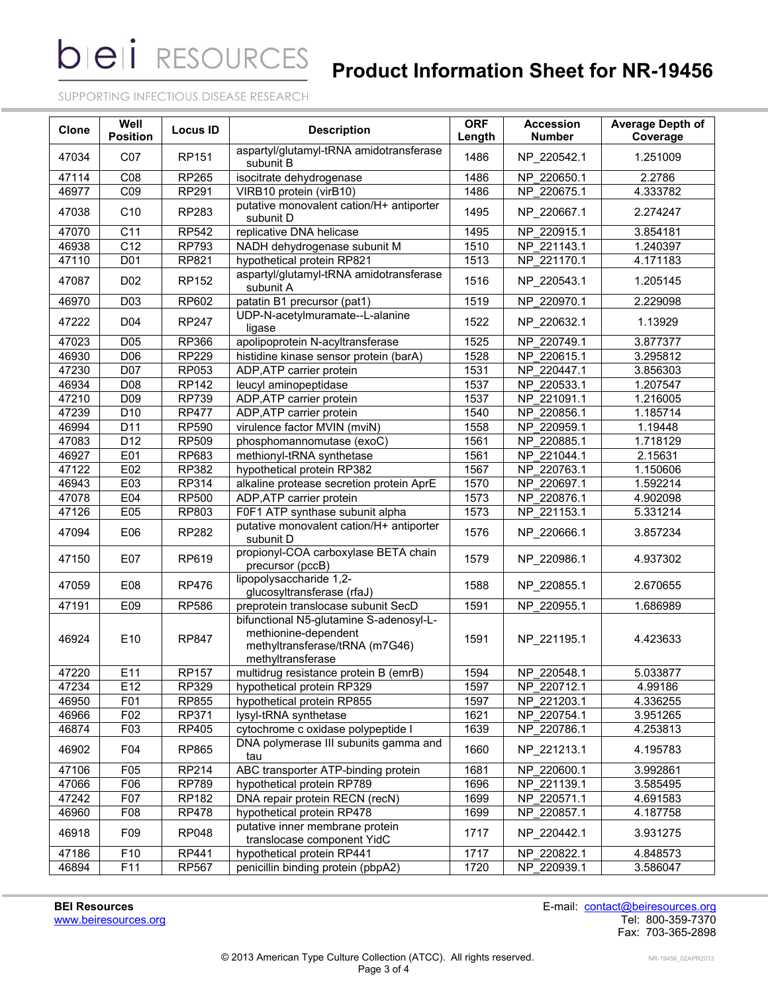**bieli** RESOURCES

# **Product Information Sheet for NR-19456**

SUPPORTING INFECTIOUS DISEASE RESEARCH

| <b>Clone</b> | Well<br><b>Position</b> | <b>Locus ID</b> | <b>Description</b>                                                                                                     | <b>ORF</b><br>Length | <b>Accession</b><br><b>Number</b> | <b>Average Depth of</b><br>Coverage |
|--------------|-------------------------|-----------------|------------------------------------------------------------------------------------------------------------------------|----------------------|-----------------------------------|-------------------------------------|
| 47034        | CO7                     | <b>RP151</b>    | aspartyl/glutamyl-tRNA amidotransferase<br>subunit B                                                                   | 1486                 | NP_220542.1                       | 1.251009                            |
| 47114        | C08                     | <b>RP265</b>    | isocitrate dehydrogenase                                                                                               | 1486                 | NP 220650.1                       | 2.2786                              |
| 46977        | C09                     | <b>RP291</b>    | VIRB10 protein (virB10)                                                                                                | 1486                 | NP 220675.1                       | 4.333782                            |
| 47038        | C <sub>10</sub>         | RP283           | putative monovalent cation/H+ antiporter<br>subunit D                                                                  | 1495                 | NP_220667.1                       | 2.274247                            |
| 47070        | C11                     | <b>RP542</b>    | replicative DNA helicase                                                                                               | 1495                 | NP 220915.1                       | 3.854181                            |
| 46938        | $\overline{C12}$        | <b>RP793</b>    | NADH dehydrogenase subunit M                                                                                           | 1510                 | NP 221143.1                       | 1.240397                            |
| 47110        | D01                     | RP821           | hypothetical protein RP821                                                                                             | 1513                 | NP_221170.1                       | 4.171183                            |
| 47087        | D02                     | <b>RP152</b>    | aspartyl/glutamyl-tRNA amidotransferase<br>subunit A                                                                   | 1516                 | NP 220543.1                       | 1.205145                            |
| 46970        | D <sub>0</sub> 3        | <b>RP602</b>    | patatin B1 precursor (pat1)                                                                                            | 1519                 | NP 220970.1                       | 2.229098                            |
| 47222        | D04                     | <b>RP247</b>    | UDP-N-acetylmuramate--L-alanine<br>ligase                                                                              | 1522                 | NP_220632.1                       | 1.13929                             |
| 47023        | D05                     | RP366           | apolipoprotein N-acyltransferase                                                                                       | 1525                 | NP 220749.1                       | 3.877377                            |
| 46930        | D06                     | <b>RP229</b>    | histidine kinase sensor protein (barA)                                                                                 | 1528                 | NP 220615.1                       | 3.295812                            |
| 47230        | D07                     | RP053           | ADP, ATP carrier protein                                                                                               | 1531                 | NP 220447.1                       | 3.856303                            |
| 46934        | D08                     | <b>RP142</b>    | leucyl aminopeptidase                                                                                                  | 1537                 | NP 220533.1                       | 1.207547                            |
| 47210        | D <sub>09</sub>         | <b>RP739</b>    | ADP, ATP carrier protein                                                                                               | 1537                 | NP 221091.1                       | 1.216005                            |
| 47239        | D <sub>10</sub>         | <b>RP477</b>    | ADP, ATP carrier protein                                                                                               | 1540                 | NP 220856.1                       | 1.185714                            |
| 46994        | D11                     | <b>RP590</b>    | virulence factor MVIN (mviN)                                                                                           | 1558                 | NP 220959.1                       | 1.19448                             |
| 47083        | $\overline{D12}$        | <b>RP509</b>    | phosphomannomutase (exoC)                                                                                              | 1561                 | NP 220885.1                       | 1.718129                            |
| 46927        | E01                     | <b>RP683</b>    | methionyl-tRNA synthetase                                                                                              | 1561                 | NP 221044.1                       | 2.15631                             |
| 47122        | E02                     | RP382           | hypothetical protein RP382                                                                                             | 1567                 | NP 220763.1                       | 1.150606                            |
| 46943        | E03                     | <b>RP314</b>    | alkaline protease secretion protein AprE                                                                               | 1570                 | NP 220697.1                       | 1.592214                            |
| 47078        | E04                     | <b>RP500</b>    | ADP, ATP carrier protein                                                                                               | 1573                 | NP 220876.1                       | 4.902098                            |
| 47126        | E05                     | RP803           | F0F1 ATP synthase subunit alpha                                                                                        | 1573                 | NP_221153.1                       | 5.331214                            |
| 47094        | E06                     | RP282           | putative monovalent cation/H+ antiporter<br>subunit D                                                                  | 1576                 | NP 220666.1                       | 3.857234                            |
| 47150        | E07                     | RP619           | propionyl-COA carboxylase BETA chain<br>precursor (pccB)                                                               | 1579                 | NP_220986.1                       | 4.937302                            |
| 47059        | E08                     | <b>RP476</b>    | lipopolysaccharide 1,2-<br>glucosyltransferase (rfaJ)                                                                  | 1588                 | NP_220855.1                       | 2.670655                            |
| 47191        | E09                     | <b>RP586</b>    | preprotein translocase subunit SecD                                                                                    | 1591                 | NP 220955.1                       | 1.686989                            |
| 46924        | E10                     | <b>RP847</b>    | bifunctional N5-glutamine S-adenosyl-L-<br>methionine-dependent<br>methyltransferase/tRNA (m7G46)<br>methyltransferase | 1591                 | NP 221195.1                       | 4.423633                            |
| 47220        | E11                     | <b>RP157</b>    | multidrug resistance protein B (emrB)                                                                                  | 1594                 | NP 220548.1                       | 5.033877                            |
| 47234        | E12                     | RP329           | hypothetical protein RP329                                                                                             | 1597                 | NP 220712.1                       | 4.99186                             |
| 46950        | F01                     | RP855           | hypothetical protein RP855                                                                                             | 1597                 | NP_221203.1                       | 4.336255                            |
| 46966        | $F_{02}$                | RP371           | lysyl-tRNA synthetase                                                                                                  | 1621                 | NP 220754.1                       | 3.951265                            |
| 46874        | F03                     | RP405           | cytochrome c oxidase polypeptide I                                                                                     | 1639                 | NP 220786.1                       | 4.253813                            |
| 46902        | F04                     | RP865           | DNA polymerase III subunits gamma and<br>tau                                                                           | 1660                 | NP_221213.1                       | 4.195783                            |
| 47106        | F05                     | RP214           | ABC transporter ATP-binding protein                                                                                    | 1681                 | NP 220600.1                       | 3.992861                            |
| 47066        | F06                     | <b>RP789</b>    | hypothetical protein RP789                                                                                             | 1696                 | NP 221139.1                       | 3.585495                            |
| 47242        | F07                     | RP182           | DNA repair protein RECN (recN)                                                                                         | 1699                 | NP 220571.1                       | 4.691583                            |
| 46960        | F08                     | <b>RP478</b>    | hypothetical protein RP478                                                                                             | 1699                 | NP_220857.1                       | 4.187758                            |
| 46918        | F09                     | <b>RP048</b>    | putative inner membrane protein<br>translocase component YidC                                                          | 1717                 | NP_220442.1                       | 3.931275                            |
| 47186        | F10                     | RP441           | hypothetical protein RP441                                                                                             | 1717                 | NP 220822.1                       | 4.848573                            |
| 46894        | F11                     | RP567           | penicillin binding protein (pbpA2)                                                                                     | 1720                 | NP_220939.1                       | 3.586047                            |

**BEI Resources** E-mail: [contact@beiresources.org](mailto:contact@beiresources.org) [www.beiresources.org](http://www.beiresources.org/) Tel: 800-359-7370 Fax: 703-365-2898